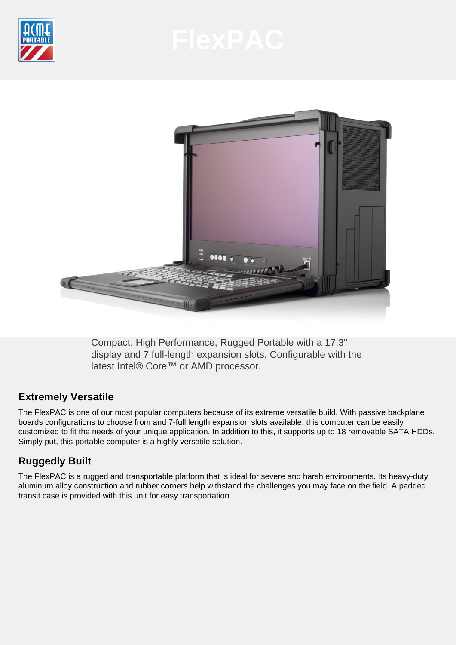



Compact, High Performance, Rugged Portable with a 17.3" display and 7 full-length expansion slots. Configurable with the latest Intel® Core™ or AMD processor.

# **Extremely Versatile**

The FlexPAC is one of our most popular computers because of its extreme versatile build. With passive backplane boards configurations to choose from and 7-full length expansion slots available, this computer can be easily customized to fit the needs of your unique application. In addition to this, it supports up to 18 removable SATA HDDs. Simply put, this portable computer is a highly versatile solution.

# **Ruggedly Built**

The FlexPAC is a rugged and transportable platform that is ideal for severe and harsh environments. Its heavy-duty aluminum alloy construction and rubber corners help withstand the challenges you may face on the field. A padded transit case is provided with this unit for easy transportation.